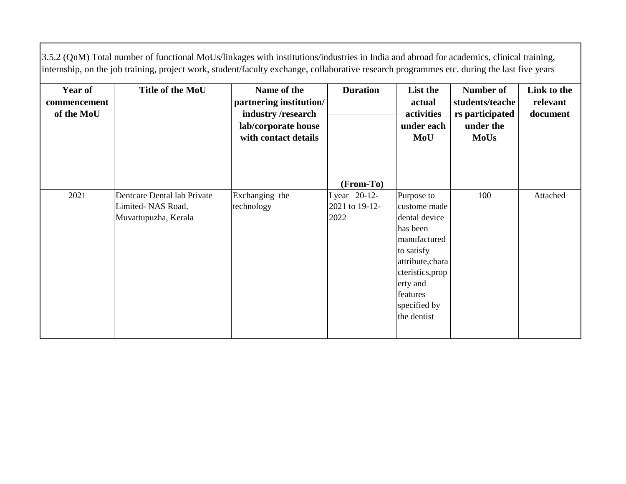3.5.2 (QnM) Total number of functional MoUs/linkages with institutions/industries in India and abroad for academics, clinical training, internship, on the job training, project work, student/faculty exchange, collaborative research programmes etc. during the last five years

| <b>Year of</b><br>commencement<br>of the MoU | Title of the MoU                                                         | Name of the<br>partnering institution/<br>industry/research<br>lab/corporate house<br>with contact details | <b>Duration</b>                         | List the<br>actual<br>activities<br>under each<br>MoU                                                                                                                                | <b>Number of</b><br>students/teache<br>rs participated<br>under the<br><b>MoUs</b> | Link to the<br>relevant<br>document |
|----------------------------------------------|--------------------------------------------------------------------------|------------------------------------------------------------------------------------------------------------|-----------------------------------------|--------------------------------------------------------------------------------------------------------------------------------------------------------------------------------------|------------------------------------------------------------------------------------|-------------------------------------|
|                                              |                                                                          |                                                                                                            | (From-To)                               |                                                                                                                                                                                      |                                                                                    |                                     |
| 2021                                         | Dentcare Dental lab Private<br>Limited-NAS Road,<br>Muvattupuzha, Kerala | Exchanging the<br>technology                                                                               | I year 20-12-<br>2021 to 19-12-<br>2022 | Purpose to<br>custome made<br>dental device<br>has been<br>manufactured<br>to satisfy<br>attribute, chara<br>cteristics, prop<br>erty and<br>features<br>specified by<br>the dentist | 100                                                                                | Attached                            |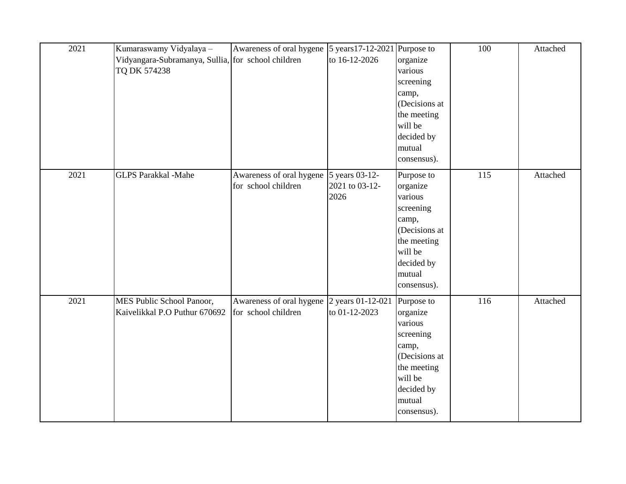| 2021 | Kumaraswamy Vidyalaya -                            | Awareness of oral hygene | 5 years 17-12-2021 Purpose to |               | 100 | Attached |
|------|----------------------------------------------------|--------------------------|-------------------------------|---------------|-----|----------|
|      | Vidyangara-Subramanya, Sullia, for school children |                          | to 16-12-2026                 | organize      |     |          |
|      | TQ DK 574238                                       |                          |                               | various       |     |          |
|      |                                                    |                          |                               | screening     |     |          |
|      |                                                    |                          |                               | camp,         |     |          |
|      |                                                    |                          |                               | (Decisions at |     |          |
|      |                                                    |                          |                               | the meeting   |     |          |
|      |                                                    |                          |                               | will be       |     |          |
|      |                                                    |                          |                               | decided by    |     |          |
|      |                                                    |                          |                               | mutual        |     |          |
|      |                                                    |                          |                               | consensus).   |     |          |
| 2021 | <b>GLPS Parakkal -Mahe</b>                         | Awareness of oral hygene | 5 years 03-12-                | Purpose to    | 115 | Attached |
|      |                                                    | for school children      | 2021 to 03-12-                | organize      |     |          |
|      |                                                    |                          | 2026                          | various       |     |          |
|      |                                                    |                          |                               | screening     |     |          |
|      |                                                    |                          |                               | camp,         |     |          |
|      |                                                    |                          |                               | (Decisions at |     |          |
|      |                                                    |                          |                               | the meeting   |     |          |
|      |                                                    |                          |                               | will be       |     |          |
|      |                                                    |                          |                               | decided by    |     |          |
|      |                                                    |                          |                               | mutual        |     |          |
|      |                                                    |                          |                               | consensus).   |     |          |
|      |                                                    |                          |                               |               |     |          |
| 2021 | MES Public School Panoor,                          | Awareness of oral hygene | 2 years 01-12-021             | Purpose to    | 116 | Attached |
|      | Kaivelikkal P.O Puthur 670692                      | for school children      | to 01-12-2023                 | organize      |     |          |
|      |                                                    |                          |                               | various       |     |          |
|      |                                                    |                          |                               | screening     |     |          |
|      |                                                    |                          |                               | camp,         |     |          |
|      |                                                    |                          |                               | (Decisions at |     |          |
|      |                                                    |                          |                               | the meeting   |     |          |
|      |                                                    |                          |                               | will be       |     |          |
|      |                                                    |                          |                               | decided by    |     |          |
|      |                                                    |                          |                               | mutual        |     |          |
|      |                                                    |                          |                               | consensus).   |     |          |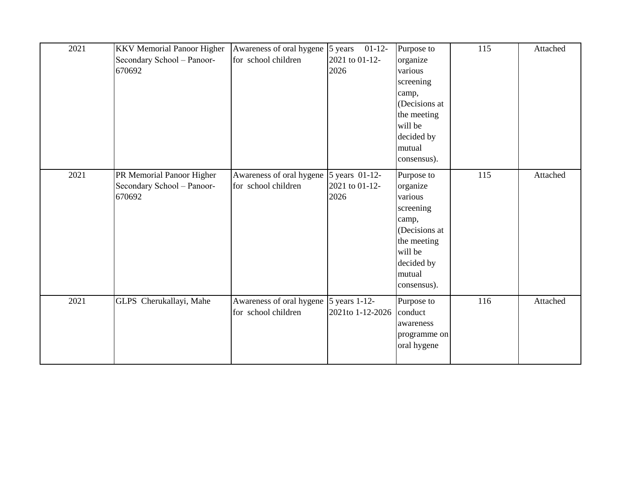| 2021 | <b>KKV</b> Memorial Panoor Higher<br>Secondary School - Panoor-<br>670692 | Awareness of oral hygene<br>for school children | 5 years<br>$01-12-$<br>2021 to 01-12-<br>2026 | Purpose to<br>organize<br>various<br>screening<br>camp,<br>(Decisions at<br>the meeting<br>will be<br>decided by<br>mutual<br>consensus). | 115 | Attached |
|------|---------------------------------------------------------------------------|-------------------------------------------------|-----------------------------------------------|-------------------------------------------------------------------------------------------------------------------------------------------|-----|----------|
| 2021 | PR Memorial Panoor Higher<br>Secondary School - Panoor-<br>670692         | Awareness of oral hygene<br>for school children | 5 years 01-12-<br>2021 to 01-12-<br>2026      | Purpose to<br>organize<br>various<br>screening<br>camp,<br>(Decisions at<br>the meeting<br>will be<br>decided by<br>mutual<br>consensus). | 115 | Attached |
| 2021 | GLPS Cherukallayi, Mahe                                                   | Awareness of oral hygene<br>for school children | 5 years 1-12-<br>2021to 1-12-2026             | Purpose to<br>conduct<br>awareness<br>programme on<br>oral hygene                                                                         | 116 | Attached |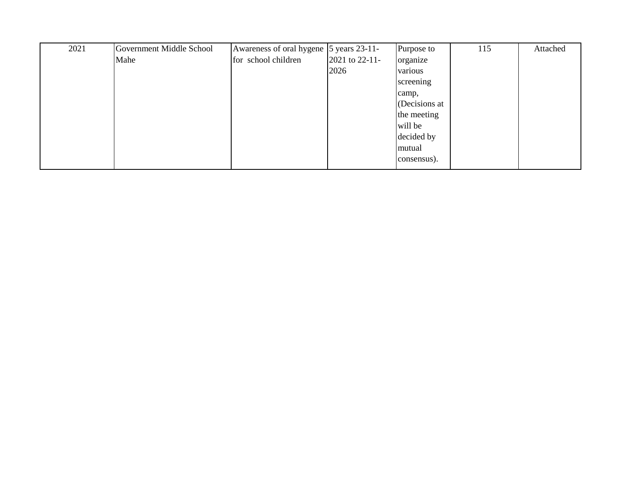| 2021 | Government Middle School | Awareness of oral hygene 5 years 23-11- |                | Purpose to    | 115 | Attached |
|------|--------------------------|-----------------------------------------|----------------|---------------|-----|----------|
|      | Mahe                     | for school children                     | 2021 to 22-11- | organize      |     |          |
|      |                          |                                         | 2026           | various       |     |          |
|      |                          |                                         |                | screening     |     |          |
|      |                          |                                         |                | camp,         |     |          |
|      |                          |                                         |                | (Decisions at |     |          |
|      |                          |                                         |                | the meeting   |     |          |
|      |                          |                                         |                | will be       |     |          |
|      |                          |                                         |                | decided by    |     |          |
|      |                          |                                         |                | mutual        |     |          |
|      |                          |                                         |                | consensus).   |     |          |
|      |                          |                                         |                |               |     |          |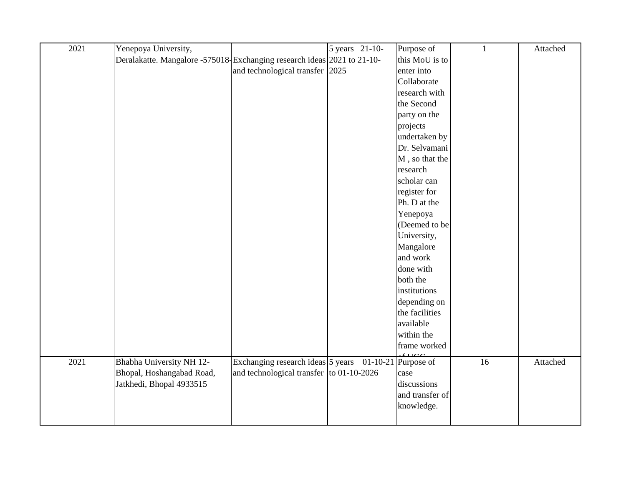| 2021 | Yenepoya University,                                                    |                                          | 5 years 21-10- | Purpose of              | 1               | Attached |
|------|-------------------------------------------------------------------------|------------------------------------------|----------------|-------------------------|-----------------|----------|
|      | Deralakatte. Mangalore -575018-Exchanging research ideas 2021 to 21-10- |                                          |                | this MoU is to          |                 |          |
|      |                                                                         | and technological transfer 2025          |                | enter into              |                 |          |
|      |                                                                         |                                          |                | Collaborate             |                 |          |
|      |                                                                         |                                          |                | research with           |                 |          |
|      |                                                                         |                                          |                | the Second              |                 |          |
|      |                                                                         |                                          |                | party on the            |                 |          |
|      |                                                                         |                                          |                | projects                |                 |          |
|      |                                                                         |                                          |                | undertaken by           |                 |          |
|      |                                                                         |                                          |                | Dr. Selvamani           |                 |          |
|      |                                                                         |                                          |                | M, so that the          |                 |          |
|      |                                                                         |                                          |                | research                |                 |          |
|      |                                                                         |                                          |                | scholar can             |                 |          |
|      |                                                                         |                                          |                | register for            |                 |          |
|      |                                                                         |                                          |                | Ph. D at the            |                 |          |
|      |                                                                         |                                          |                | Yenepoya                |                 |          |
|      |                                                                         |                                          |                | (Deemed to be           |                 |          |
|      |                                                                         |                                          |                | University,             |                 |          |
|      |                                                                         |                                          |                | Mangalore               |                 |          |
|      |                                                                         |                                          |                | and work                |                 |          |
|      |                                                                         |                                          |                | done with               |                 |          |
|      |                                                                         |                                          |                | both the                |                 |          |
|      |                                                                         |                                          |                | institutions            |                 |          |
|      |                                                                         |                                          |                | depending on            |                 |          |
|      |                                                                         |                                          |                | the facilities          |                 |          |
|      |                                                                         |                                          |                | available               |                 |          |
|      |                                                                         |                                          |                | within the              |                 |          |
|      |                                                                         |                                          |                | frame worked<br>C T T C |                 |          |
| 2021 | Bhabha University NH 12-                                                | Exchanging research ideas 5 years        |                | 01-10-21 Purpose of     | $\overline{16}$ | Attached |
|      | Bhopal, Hoshangabad Road,                                               | and technological transfer to 01-10-2026 |                | case                    |                 |          |
|      | Jatkhedi, Bhopal 4933515                                                |                                          |                | discussions             |                 |          |
|      |                                                                         |                                          |                | and transfer of         |                 |          |
|      |                                                                         |                                          |                | knowledge.              |                 |          |
|      |                                                                         |                                          |                |                         |                 |          |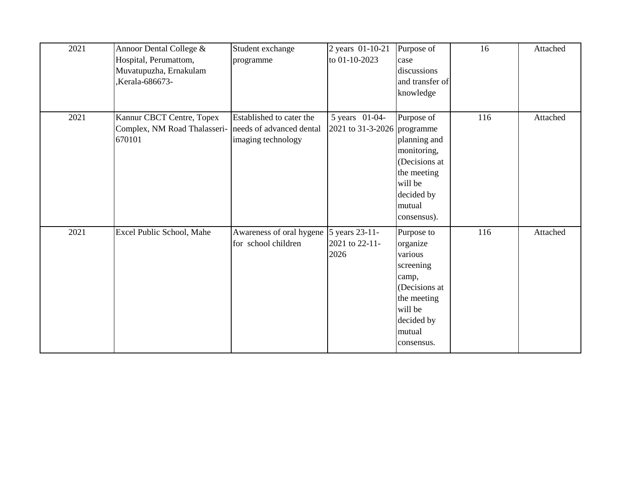| 2021 | Annoor Dental College &<br>Hospital, Perumattom,<br>Muvatupuzha, Ernakulam<br>Kerala-686673- | Student exchange<br>programme                                              | 2 years 01-10-21<br>to 01-10-2023             | Purpose of<br>case<br>discussions<br>and transfer of<br>knowledge                                                                        | 16  | Attached |
|------|----------------------------------------------------------------------------------------------|----------------------------------------------------------------------------|-----------------------------------------------|------------------------------------------------------------------------------------------------------------------------------------------|-----|----------|
| 2021 | Kannur CBCT Centre, Topex<br>Complex, NM Road Thalasseri-<br>670101                          | Established to cater the<br>needs of advanced dental<br>imaging technology | 5 years 01-04-<br>2021 to 31-3-2026 programme | Purpose of<br>planning and<br>monitoring,<br>(Decisions at<br>the meeting<br>will be<br>decided by<br>mutual<br>consensus).              | 116 | Attached |
| 2021 | Excel Public School, Mahe                                                                    | Awareness of oral hygene<br>for school children                            | 5 years 23-11-<br>2021 to 22-11-<br>2026      | Purpose to<br>organize<br>various<br>screening<br>camp,<br>(Decisions at<br>the meeting<br>will be<br>decided by<br>mutual<br>consensus. | 116 | Attached |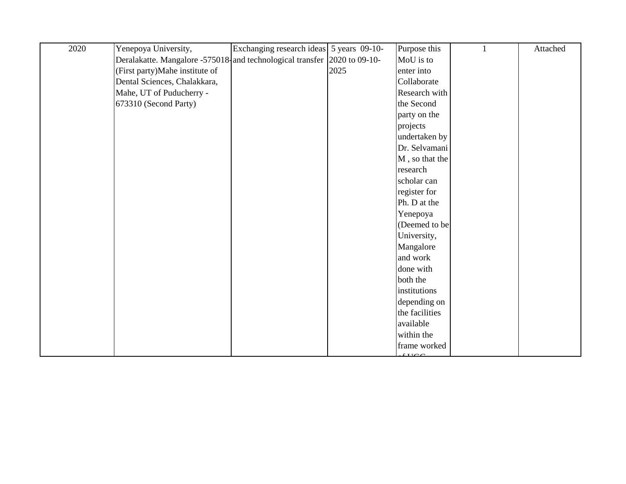| 2020 | Yenepoya University,                                                     | Exchanging research ideas 5 years 09-10- |      | Purpose this   | Attached |
|------|--------------------------------------------------------------------------|------------------------------------------|------|----------------|----------|
|      | Deralakatte. Mangalore -575018-and technological transfer 2020 to 09-10- |                                          |      | MoU is to      |          |
|      | (First party) Mahe institute of                                          |                                          | 2025 | enter into     |          |
|      | Dental Sciences, Chalakkara,                                             |                                          |      | Collaborate    |          |
|      | Mahe, UT of Puducherry -                                                 |                                          |      | Research with  |          |
|      | 673310 (Second Party)                                                    |                                          |      | the Second     |          |
|      |                                                                          |                                          |      | party on the   |          |
|      |                                                                          |                                          |      | projects       |          |
|      |                                                                          |                                          |      | undertaken by  |          |
|      |                                                                          |                                          |      | Dr. Selvamani  |          |
|      |                                                                          |                                          |      | M, so that the |          |
|      |                                                                          |                                          |      | research       |          |
|      |                                                                          |                                          |      | scholar can    |          |
|      |                                                                          |                                          |      | register for   |          |
|      |                                                                          |                                          |      | Ph. D at the   |          |
|      |                                                                          |                                          |      | Yenepoya       |          |
|      |                                                                          |                                          |      | (Deemed to be  |          |
|      |                                                                          |                                          |      | University,    |          |
|      |                                                                          |                                          |      | Mangalore      |          |
|      |                                                                          |                                          |      | and work       |          |
|      |                                                                          |                                          |      | done with      |          |
|      |                                                                          |                                          |      | both the       |          |
|      |                                                                          |                                          |      | institutions   |          |
|      |                                                                          |                                          |      | depending on   |          |
|      |                                                                          |                                          |      | the facilities |          |
|      |                                                                          |                                          |      | available      |          |
|      |                                                                          |                                          |      | within the     |          |
|      |                                                                          |                                          |      | frame worked   |          |
|      |                                                                          |                                          |      | CIO            |          |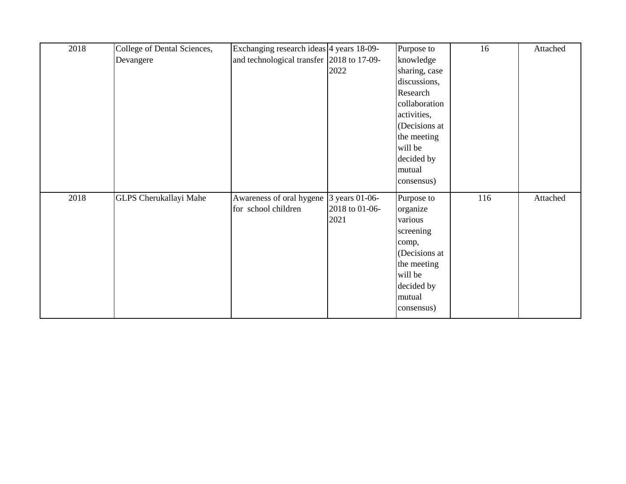| 2018 | College of Dental Sciences, | Exchanging research ideas 4 years 18-09-  |                | Purpose to    | 16  | Attached |
|------|-----------------------------|-------------------------------------------|----------------|---------------|-----|----------|
|      | Devangere                   | and technological transfer 2018 to 17-09- |                | knowledge     |     |          |
|      |                             |                                           | 2022           | sharing, case |     |          |
|      |                             |                                           |                | discussions,  |     |          |
|      |                             |                                           |                | Research      |     |          |
|      |                             |                                           |                | collaboration |     |          |
|      |                             |                                           |                | activities,   |     |          |
|      |                             |                                           |                | (Decisions at |     |          |
|      |                             |                                           |                | the meeting   |     |          |
|      |                             |                                           |                | will be       |     |          |
|      |                             |                                           |                | decided by    |     |          |
|      |                             |                                           |                | mutual        |     |          |
|      |                             |                                           |                | consensus)    |     |          |
| 2018 | GLPS Cherukallayi Mahe      | Awareness of oral hygene                  | 3 years 01-06- | Purpose to    | 116 | Attached |
|      |                             | for school children                       | 2018 to 01-06- | organize      |     |          |
|      |                             |                                           | 2021           | various       |     |          |
|      |                             |                                           |                | screening     |     |          |
|      |                             |                                           |                | comp,         |     |          |
|      |                             |                                           |                | (Decisions at |     |          |
|      |                             |                                           |                | the meeting   |     |          |
|      |                             |                                           |                | will be       |     |          |
|      |                             |                                           |                | decided by    |     |          |
|      |                             |                                           |                | mutual        |     |          |
|      |                             |                                           |                | consensus)    |     |          |
|      |                             |                                           |                |               |     |          |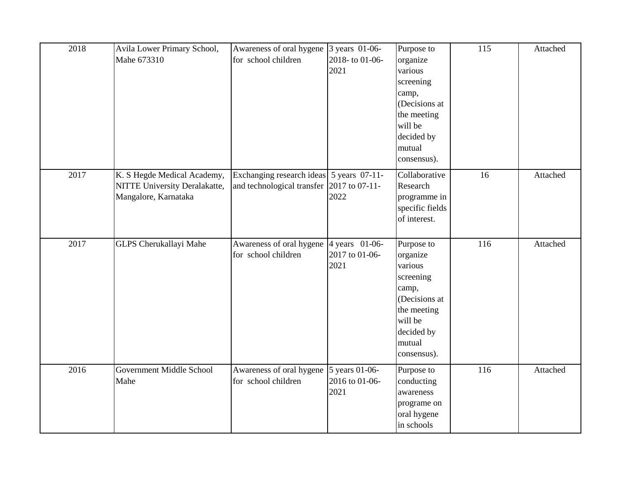| 2018 | Avila Lower Primary School,<br>Mahe 673310                                           | Awareness of oral hygene<br>for school children                                       | 3 years 01-06-<br>2018-to 01-06-<br>2021 | Purpose to<br>organize<br>various<br>screening<br>camp,<br>(Decisions at<br>the meeting<br>will be<br>decided by<br>mutual<br>consensus). | 115 | Attached |
|------|--------------------------------------------------------------------------------------|---------------------------------------------------------------------------------------|------------------------------------------|-------------------------------------------------------------------------------------------------------------------------------------------|-----|----------|
| 2017 | K. S Hegde Medical Academy,<br>NITTE University Deralakatte,<br>Mangalore, Karnataka | Exchanging research ideas 5 years 07-11-<br>and technological transfer 2017 to 07-11- | 2022                                     | Collaborative<br>Research<br>programme in<br>specific fields<br>of interest.                                                              | 16  | Attached |
| 2017 | GLPS Cherukallayi Mahe                                                               | Awareness of oral hygene<br>for school children                                       | 4 years 01-06-<br>2017 to 01-06-<br>2021 | Purpose to<br>organize<br>various<br>screening<br>camp,<br>(Decisions at<br>the meeting<br>will be<br>decided by<br>mutual<br>consensus). | 116 | Attached |
| 2016 | Government Middle School<br>Mahe                                                     | Awareness of oral hygene<br>for school children                                       | 5 years 01-06-<br>2016 to 01-06-<br>2021 | Purpose to<br>conducting<br>awareness<br>programe on<br>oral hygene<br>in schools                                                         | 116 | Attached |